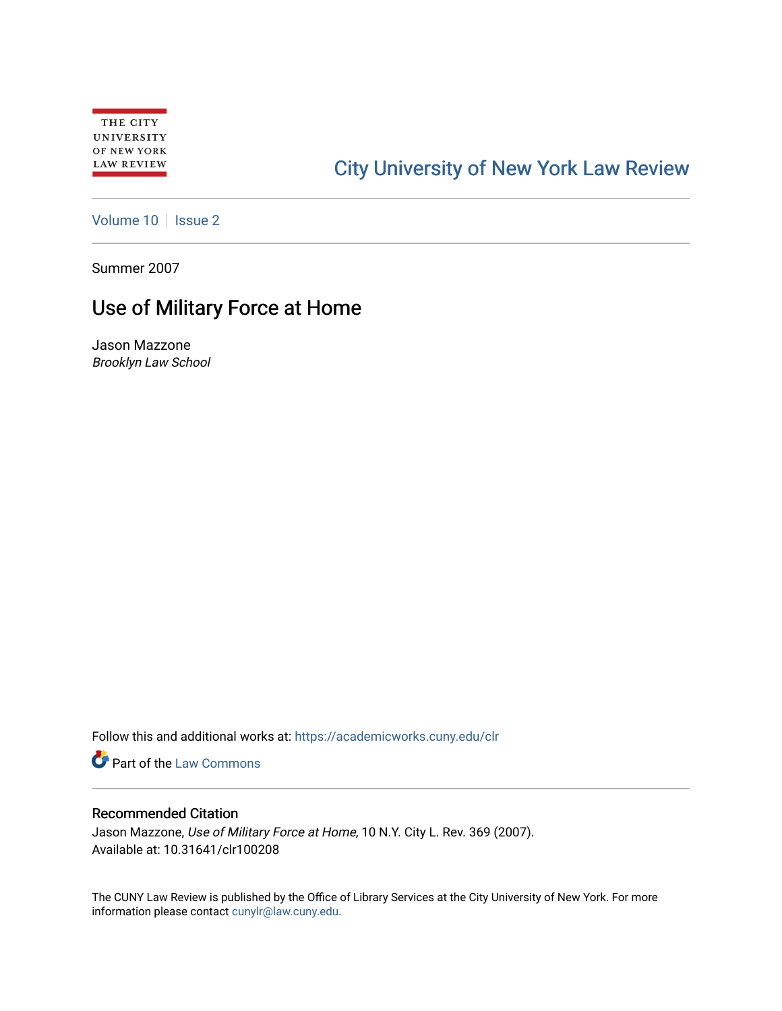# [City University of New York Law Review](https://academicworks.cuny.edu/clr)

[Volume 10](https://academicworks.cuny.edu/clr/vol10) | [Issue 2](https://academicworks.cuny.edu/clr/vol10/iss2)

Summer 2007

## Use of Military Force at Home

Jason Mazzone Brooklyn Law School

Follow this and additional works at: [https://academicworks.cuny.edu/clr](https://academicworks.cuny.edu/clr?utm_source=academicworks.cuny.edu%2Fclr%2Fvol10%2Fiss2%2F9&utm_medium=PDF&utm_campaign=PDFCoverPages) 

**Part of the [Law Commons](http://network.bepress.com/hgg/discipline/578?utm_source=academicworks.cuny.edu%2Fclr%2Fvol10%2Fiss2%2F9&utm_medium=PDF&utm_campaign=PDFCoverPages)** 

### Recommended Citation

Jason Mazzone, Use of Military Force at Home, 10 N.Y. City L. Rev. 369 (2007). Available at: 10.31641/clr100208

The CUNY Law Review is published by the Office of Library Services at the City University of New York. For more information please contact [cunylr@law.cuny.edu](mailto:cunylr@law.cuny.edu).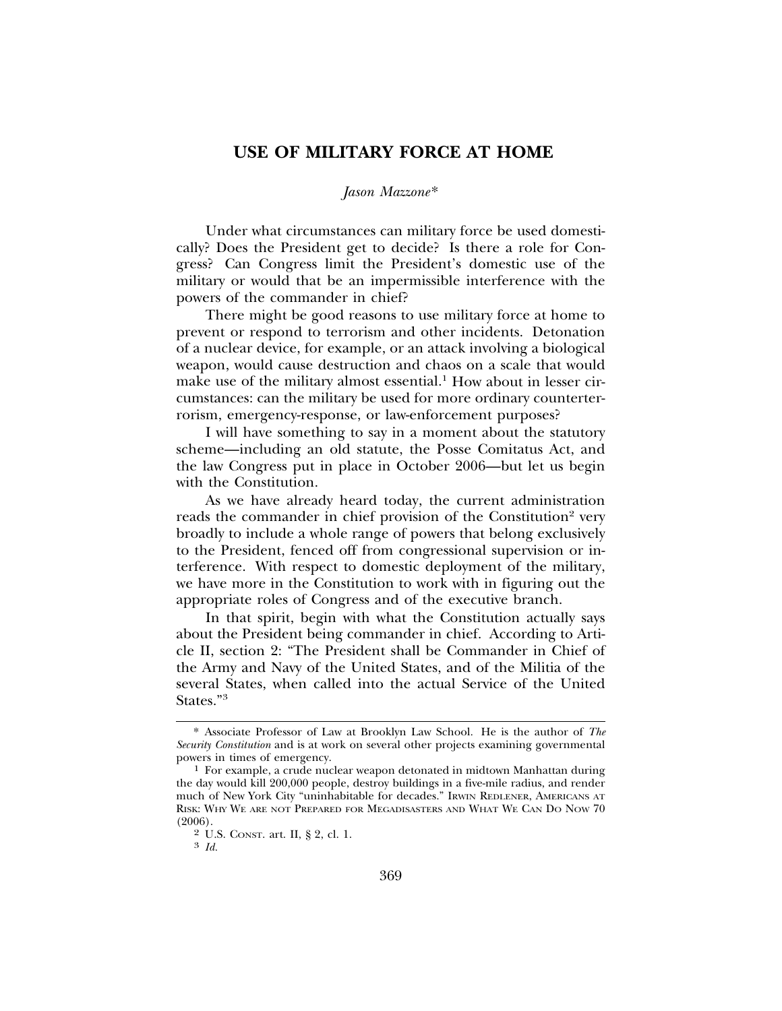### **USE OF MILITARY FORCE AT HOME**

#### *Jason Mazzone*\*

Under what circumstances can military force be used domestically? Does the President get to decide? Is there a role for Congress? Can Congress limit the President's domestic use of the military or would that be an impermissible interference with the powers of the commander in chief?

There might be good reasons to use military force at home to prevent or respond to terrorism and other incidents. Detonation of a nuclear device, for example, or an attack involving a biological weapon, would cause destruction and chaos on a scale that would make use of the military almost essential.<sup>1</sup> How about in lesser circumstances: can the military be used for more ordinary counterterrorism, emergency-response, or law-enforcement purposes?

I will have something to say in a moment about the statutory scheme—including an old statute, the Posse Comitatus Act, and the law Congress put in place in October 2006—but let us begin with the Constitution.

As we have already heard today, the current administration reads the commander in chief provision of the Constitution<sup>2</sup> very broadly to include a whole range of powers that belong exclusively to the President, fenced off from congressional supervision or interference. With respect to domestic deployment of the military, we have more in the Constitution to work with in figuring out the appropriate roles of Congress and of the executive branch.

In that spirit, begin with what the Constitution actually says about the President being commander in chief. According to Article II, section 2: "The President shall be Commander in Chief of the Army and Navy of the United States, and of the Militia of the several States, when called into the actual Service of the United States."<sup>3</sup>

<sup>\*</sup> Associate Professor of Law at Brooklyn Law School. He is the author of *The Security Constitution* and is at work on several other projects examining governmental

<sup>&</sup>lt;sup>1</sup> For example, a crude nuclear weapon detonated in midtown Manhattan during the day would kill 200,000 people, destroy buildings in a five-mile radius, and render much of New York City "uninhabitable for decades." IRWIN REDLENER, AMERICANS AT RISK: WHY WE ARE NOT PREPARED FOR MEGADISASTERS AND WHAT WE CAN DO NOW 70 (2006).

<sup>2</sup> U.S. CONST. art. II, § 2, cl. 1. <sup>3</sup> *Id.*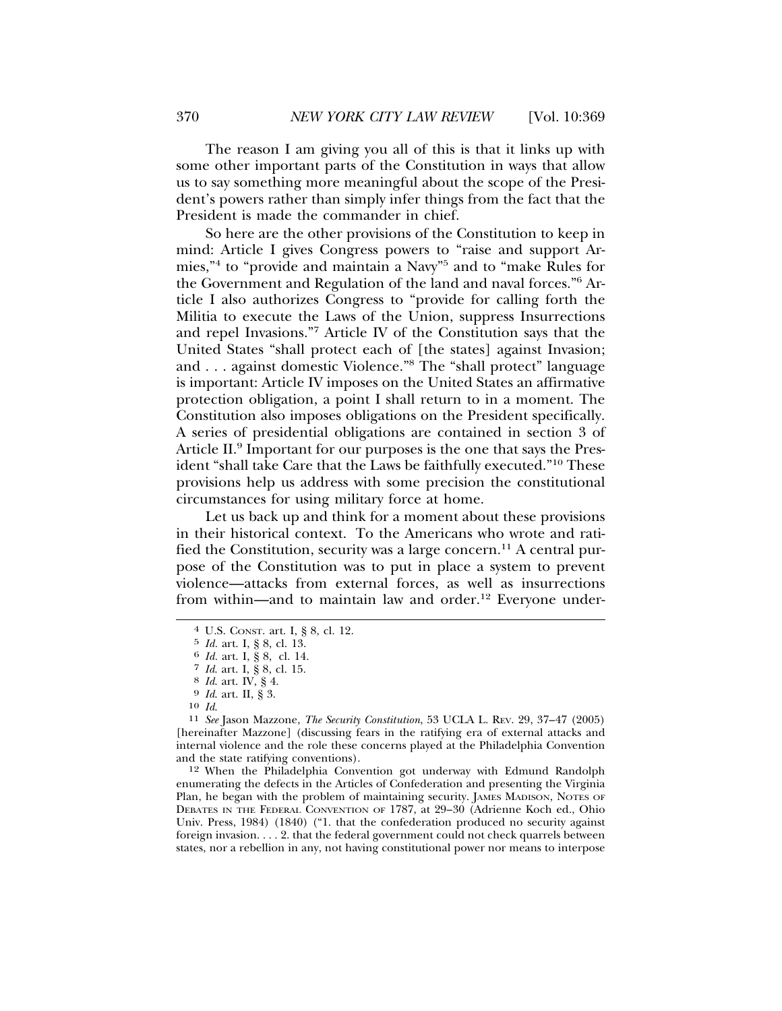The reason I am giving you all of this is that it links up with some other important parts of the Constitution in ways that allow us to say something more meaningful about the scope of the President's powers rather than simply infer things from the fact that the President is made the commander in chief.

So here are the other provisions of the Constitution to keep in mind: Article I gives Congress powers to "raise and support Armies,"4 to "provide and maintain a Navy"5 and to "make Rules for the Government and Regulation of the land and naval forces."6 Article I also authorizes Congress to "provide for calling forth the Militia to execute the Laws of the Union, suppress Insurrections and repel Invasions."7 Article IV of the Constitution says that the United States "shall protect each of [the states] against Invasion; and . . . against domestic Violence."<sup>8</sup> The "shall protect" language is important: Article IV imposes on the United States an affirmative protection obligation, a point I shall return to in a moment. The Constitution also imposes obligations on the President specifically. A series of presidential obligations are contained in section 3 of Article II.<sup>9</sup> Important for our purposes is the one that says the President "shall take Care that the Laws be faithfully executed."10 These provisions help us address with some precision the constitutional circumstances for using military force at home.

Let us back up and think for a moment about these provisions in their historical context. To the Americans who wrote and ratified the Constitution, security was a large concern.<sup>11</sup> A central purpose of the Constitution was to put in place a system to prevent violence—attacks from external forces, as well as insurrections from within—and to maintain law and order.<sup>12</sup> Everyone under-

12 When the Philadelphia Convention got underway with Edmund Randolph enumerating the defects in the Articles of Confederation and presenting the Virginia Plan, he began with the problem of maintaining security. JAMES MADISON, NOTES OF DEBATES IN THE FEDERAL CONVENTION OF 1787, at 29–30 (Adrienne Koch ed., Ohio Univ. Press, 1984) (1840) ("1. that the confederation produced no security against foreign invasion. . . . 2. that the federal government could not check quarrels between states, nor a rebellion in any, not having constitutional power nor means to interpose

<sup>4</sup> U.S. CONST. art. I, § 8, cl. 12.

<sup>5</sup> *Id.* art. I, § 8, cl. 13. <sup>6</sup> *Id.* art. I, § 8, cl. 14.

<sup>7</sup> *Id*. art. I, § 8, cl. 15. <sup>8</sup> *Id*. art. IV, § 4. <sup>9</sup> *Id*. art. II, § 3.

<sup>10</sup> *Id*. <sup>11</sup> *See* Jason Mazzone, *The Security Constitution*, 53 UCLA L. REV. 29, 37–47 (2005) [hereinafter Mazzone] (discussing fears in the ratifying era of external attacks and internal violence and the role these concerns played at the Philadelphia Convention and the state ratifying conventions).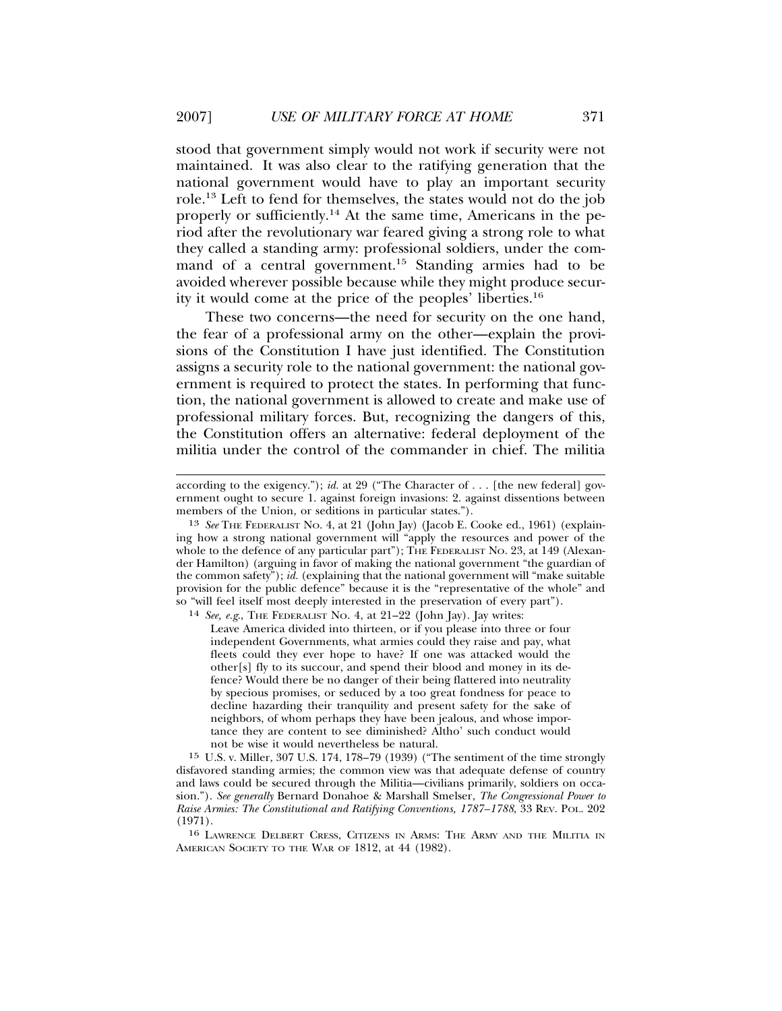stood that government simply would not work if security were not maintained. It was also clear to the ratifying generation that the national government would have to play an important security role.13 Left to fend for themselves, the states would not do the job properly or sufficiently.14 At the same time, Americans in the period after the revolutionary war feared giving a strong role to what they called a standing army: professional soldiers, under the command of a central government.<sup>15</sup> Standing armies had to be avoided wherever possible because while they might produce security it would come at the price of the peoples' liberties.16

These two concerns—the need for security on the one hand, the fear of a professional army on the other—explain the provisions of the Constitution I have just identified. The Constitution assigns a security role to the national government: the national government is required to protect the states. In performing that function, the national government is allowed to create and make use of professional military forces. But, recognizing the dangers of this, the Constitution offers an alternative: federal deployment of the militia under the control of the commander in chief. The militia

14 *See, e.g*., THE FEDERALIST NO. 4, at 21–22 (John Jay). Jay writes:

Leave America divided into thirteen, or if you please into three or four independent Governments, what armies could they raise and pay, what fleets could they ever hope to have? If one was attacked would the other[s] fly to its succour, and spend their blood and money in its defence? Would there be no danger of their being flattered into neutrality by specious promises, or seduced by a too great fondness for peace to decline hazarding their tranquility and present safety for the sake of neighbors, of whom perhaps they have been jealous, and whose importance they are content to see diminished? Altho' such conduct would not be wise it would nevertheless be natural.

15 U.S. v. Miller, 307 U.S. 174, 178–79 (1939) ("The sentiment of the time strongly disfavored standing armies; the common view was that adequate defense of country and laws could be secured through the Militia—civilians primarily, soldiers on occasion."). *See generally* Bernard Donahoe & Marshall Smelser, *The Congressional Power to Raise Armies: The Constitutional and Ratifying Conventions, 1787–1788*, 33 REV. POL. 202 (1971).

16 LAWRENCE DELBERT CRESS, CITIZENS IN ARMS: THE ARMY AND THE MILITIA IN AMERICAN SOCIETY TO THE WAR OF 1812, at 44 (1982).

according to the exigency."); *id.* at 29 ("The Character of . . . [the new federal] government ought to secure 1. against foreign invasions: 2. against dissentions between members of the Union, or seditions in particular states.").

<sup>13</sup> *See* THE FEDERALIST NO. 4, at 21 (John Jay) (Jacob E. Cooke ed., 1961) (explaining how a strong national government will "apply the resources and power of the whole to the defence of any particular part"); THE FEDERALIST No. 23, at 149 (Alexander Hamilton) (arguing in favor of making the national government "the guardian of the common safety"); *id.* (explaining that the national government will "make suitable provision for the public defence" because it is the "representative of the whole" and so "will feel itself most deeply interested in the preservation of every part").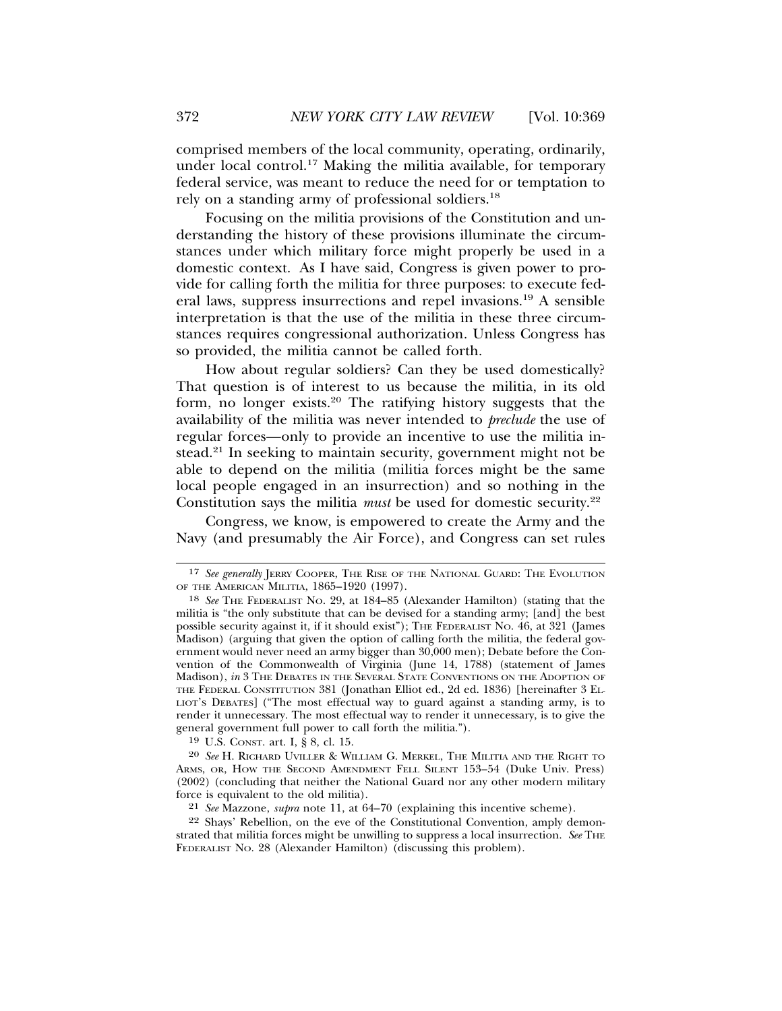comprised members of the local community, operating, ordinarily, under local control.17 Making the militia available, for temporary federal service, was meant to reduce the need for or temptation to rely on a standing army of professional soldiers.18

Focusing on the militia provisions of the Constitution and understanding the history of these provisions illuminate the circumstances under which military force might properly be used in a domestic context. As I have said, Congress is given power to provide for calling forth the militia for three purposes: to execute federal laws, suppress insurrections and repel invasions.19 A sensible interpretation is that the use of the militia in these three circumstances requires congressional authorization. Unless Congress has so provided, the militia cannot be called forth.

How about regular soldiers? Can they be used domestically? That question is of interest to us because the militia, in its old form, no longer exists.20 The ratifying history suggests that the availability of the militia was never intended to *preclude* the use of regular forces—only to provide an incentive to use the militia instead.21 In seeking to maintain security, government might not be able to depend on the militia (militia forces might be the same local people engaged in an insurrection) and so nothing in the Constitution says the militia *must* be used for domestic security.<sup>22</sup>

Congress, we know, is empowered to create the Army and the Navy (and presumably the Air Force), and Congress can set rules

19 U.S. CONST. art. I, § 8, cl. 15.

20 *See* H. RICHARD UVILLER & WILLIAM G. MERKEL, THE MILITIA AND THE RIGHT TO ARMS, OR, HOW THE SECOND AMENDMENT FELL SILENT 153–54 (Duke Univ. Press) (2002) (concluding that neither the National Guard nor any other modern military force is equivalent to the old militia).

<sup>17</sup> *See generally* JERRY COOPER, THE RISE OF THE NATIONAL GUARD: THE EVOLUTION OF THE AMERICAN MILITIA, 1865–1920 (1997).

<sup>18</sup> *See* THE FEDERALIST NO. 29, at 184–85 (Alexander Hamilton) (stating that the militia is "the only substitute that can be devised for a standing army; [and] the best possible security against it, if it should exist"); THE FEDERALIST NO. 46, at 321 (James Madison) (arguing that given the option of calling forth the militia, the federal government would never need an army bigger than 30,000 men); Debate before the Convention of the Commonwealth of Virginia (June 14, 1788) (statement of James Madison), *in* 3 THE DEBATES IN THE SEVERAL STATE CONVENTIONS ON THE ADOPTION OF THE FEDERAL CONSTITUTION 381 (Jonathan Elliot ed., 2d ed. 1836) [hereinafter 3 EL-LIOT'S DEBATES] ("The most effectual way to guard against a standing army, is to render it unnecessary. The most effectual way to render it unnecessary, is to give the general government full power to call forth the militia.").

<sup>21</sup> *See* Mazzone, *supra* note 11, at 64–70 (explaining this incentive scheme).

<sup>22</sup> Shays' Rebellion, on the eve of the Constitutional Convention, amply demonstrated that militia forces might be unwilling to suppress a local insurrection. See THE FEDERALIST NO. 28 (Alexander Hamilton) (discussing this problem).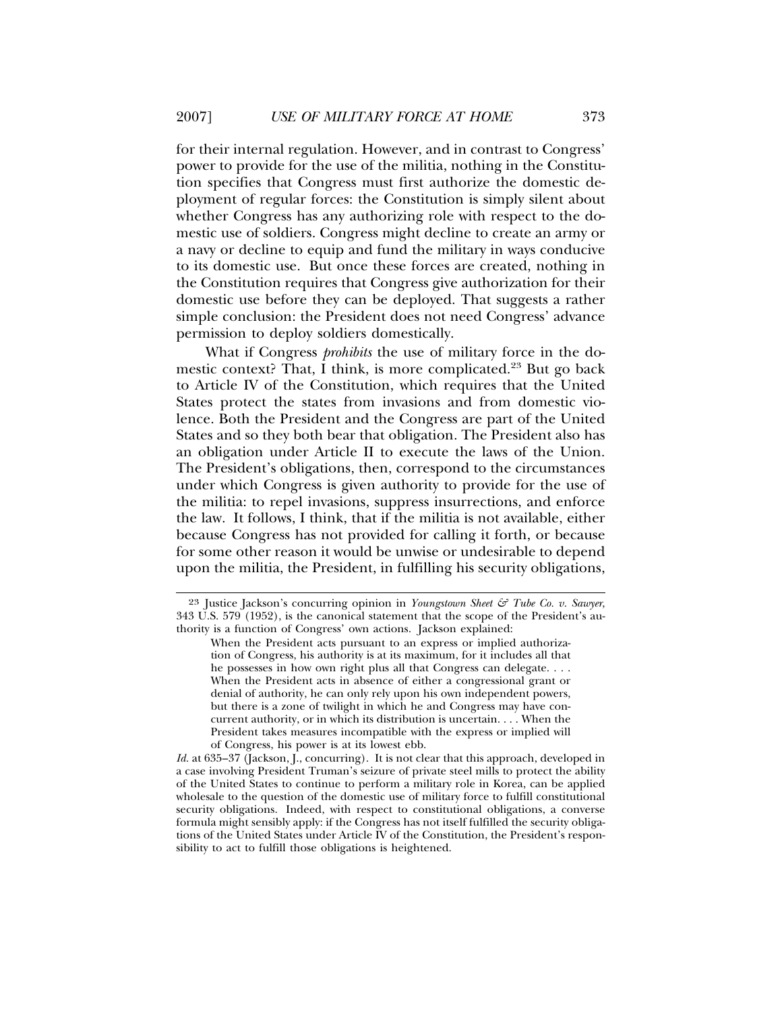for their internal regulation. However, and in contrast to Congress' power to provide for the use of the militia, nothing in the Constitution specifies that Congress must first authorize the domestic deployment of regular forces: the Constitution is simply silent about whether Congress has any authorizing role with respect to the domestic use of soldiers. Congress might decline to create an army or a navy or decline to equip and fund the military in ways conducive to its domestic use. But once these forces are created, nothing in the Constitution requires that Congress give authorization for their domestic use before they can be deployed. That suggests a rather simple conclusion: the President does not need Congress' advance permission to deploy soldiers domestically.

What if Congress *prohibits* the use of military force in the domestic context? That, I think, is more complicated.<sup>23</sup> But go back to Article IV of the Constitution, which requires that the United States protect the states from invasions and from domestic violence. Both the President and the Congress are part of the United States and so they both bear that obligation. The President also has an obligation under Article II to execute the laws of the Union. The President's obligations, then, correspond to the circumstances under which Congress is given authority to provide for the use of the militia: to repel invasions, suppress insurrections, and enforce the law. It follows, I think, that if the militia is not available, either because Congress has not provided for calling it forth, or because for some other reason it would be unwise or undesirable to depend upon the militia, the President, in fulfilling his security obligations,

<sup>23</sup> Justice Jackson's concurring opinion in *Youngstown Sheet & Tube Co. v. Sawyer*, 343 U.S. 579 (1952), is the canonical statement that the scope of the President's authority is a function of Congress' own actions. Jackson explained:

When the President acts pursuant to an express or implied authorization of Congress, his authority is at its maximum, for it includes all that he possesses in how own right plus all that Congress can delegate. . . . When the President acts in absence of either a congressional grant or denial of authority, he can only rely upon his own independent powers, but there is a zone of twilight in which he and Congress may have concurrent authority, or in which its distribution is uncertain. . . . When the President takes measures incompatible with the express or implied will of Congress, his power is at its lowest ebb.

Id. at 635–37 (Jackson, J., concurring). It is not clear that this approach, developed in a case involving President Truman's seizure of private steel mills to protect the ability of the United States to continue to perform a military role in Korea, can be applied wholesale to the question of the domestic use of military force to fulfill constitutional security obligations. Indeed, with respect to constitutional obligations, a converse formula might sensibly apply: if the Congress has not itself fulfilled the security obligations of the United States under Article IV of the Constitution, the President's responsibility to act to fulfill those obligations is heightened.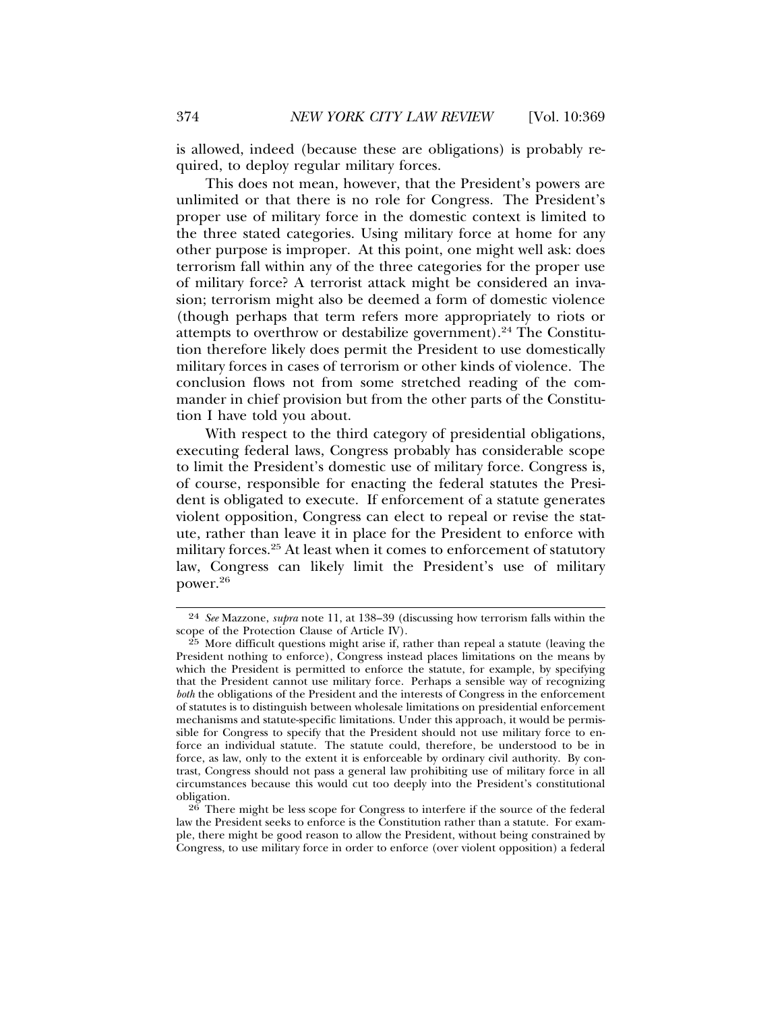is allowed, indeed (because these are obligations) is probably required, to deploy regular military forces.

This does not mean, however, that the President's powers are unlimited or that there is no role for Congress. The President's proper use of military force in the domestic context is limited to the three stated categories. Using military force at home for any other purpose is improper. At this point, one might well ask: does terrorism fall within any of the three categories for the proper use of military force? A terrorist attack might be considered an invasion; terrorism might also be deemed a form of domestic violence (though perhaps that term refers more appropriately to riots or attempts to overthrow or destabilize government).24 The Constitution therefore likely does permit the President to use domestically military forces in cases of terrorism or other kinds of violence. The conclusion flows not from some stretched reading of the commander in chief provision but from the other parts of the Constitution I have told you about.

With respect to the third category of presidential obligations, executing federal laws, Congress probably has considerable scope to limit the President's domestic use of military force. Congress is, of course, responsible for enacting the federal statutes the President is obligated to execute. If enforcement of a statute generates violent opposition, Congress can elect to repeal or revise the statute, rather than leave it in place for the President to enforce with military forces.<sup>25</sup> At least when it comes to enforcement of statutory law, Congress can likely limit the President's use of military power.26

<sup>24</sup> *See* Mazzone, *supra* note 11, at 138–39 (discussing how terrorism falls within the scope of the Protection Clause of Article IV).

<sup>25</sup> More difficult questions might arise if, rather than repeal a statute (leaving the President nothing to enforce), Congress instead places limitations on the means by which the President is permitted to enforce the statute, for example, by specifying that the President cannot use military force. Perhaps a sensible way of recognizing *both* the obligations of the President and the interests of Congress in the enforcement of statutes is to distinguish between wholesale limitations on presidential enforcement mechanisms and statute-specific limitations. Under this approach, it would be permissible for Congress to specify that the President should not use military force to enforce an individual statute. The statute could, therefore, be understood to be in force, as law, only to the extent it is enforceable by ordinary civil authority. By contrast, Congress should not pass a general law prohibiting use of military force in all circumstances because this would cut too deeply into the President's constitutional obligation.

 $26$  There might be less scope for Congress to interfere if the source of the federal law the President seeks to enforce is the Constitution rather than a statute. For example, there might be good reason to allow the President, without being constrained by Congress, to use military force in order to enforce (over violent opposition) a federal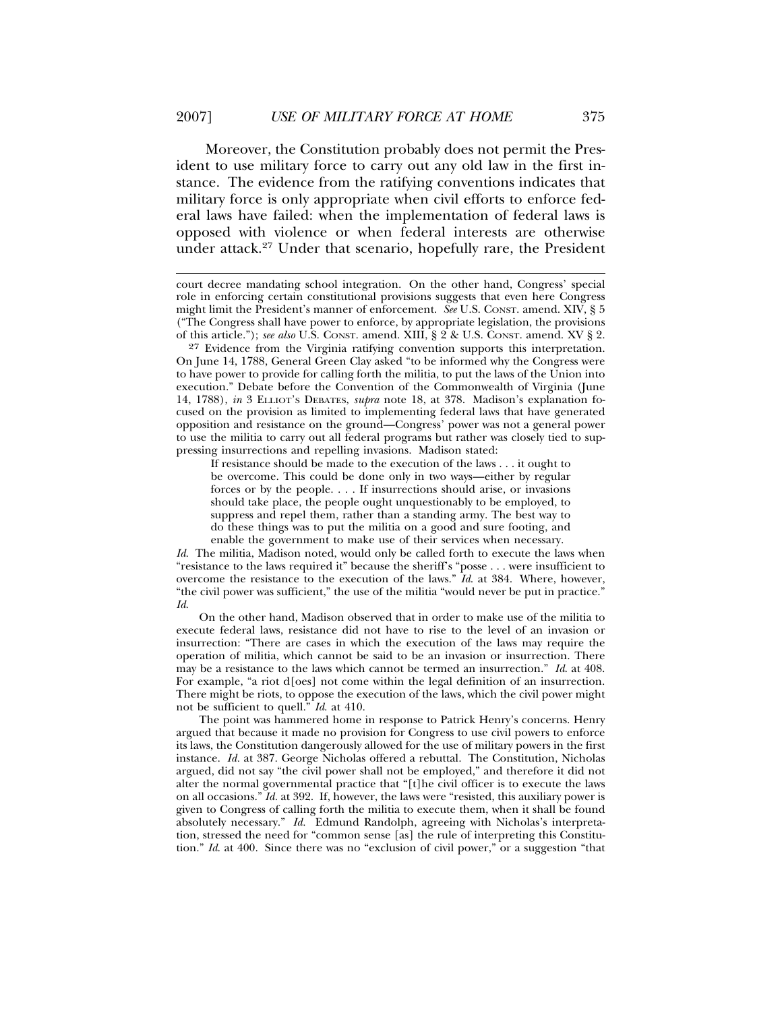Moreover, the Constitution probably does not permit the President to use military force to carry out any old law in the first instance. The evidence from the ratifying conventions indicates that military force is only appropriate when civil efforts to enforce federal laws have failed: when the implementation of federal laws is opposed with violence or when federal interests are otherwise under attack.27 Under that scenario, hopefully rare, the President

If resistance should be made to the execution of the laws . . . it ought to be overcome. This could be done only in two ways—either by regular forces or by the people. . . . If insurrections should arise, or invasions should take place, the people ought unquestionably to be employed, to suppress and repel them, rather than a standing army. The best way to do these things was to put the militia on a good and sure footing, and enable the government to make use of their services when necessary.

*Id*. The militia, Madison noted, would only be called forth to execute the laws when "resistance to the laws required it" because the sheriff's "posse . . . were insufficient to overcome the resistance to the execution of the laws." *Id*. at 384. Where, however, "the civil power was sufficient," the use of the militia "would never be put in practice." *Id*.

On the other hand, Madison observed that in order to make use of the militia to execute federal laws, resistance did not have to rise to the level of an invasion or insurrection: "There are cases in which the execution of the laws may require the operation of militia, which cannot be said to be an invasion or insurrection. There may be a resistance to the laws which cannot be termed an insurrection." *Id*. at 408. For example, "a riot d[oes] not come within the legal definition of an insurrection. There might be riots, to oppose the execution of the laws, which the civil power might not be sufficient to quell." *Id*. at 410.

The point was hammered home in response to Patrick Henry's concerns. Henry argued that because it made no provision for Congress to use civil powers to enforce its laws, the Constitution dangerously allowed for the use of military powers in the first instance. *Id.* at 387. George Nicholas offered a rebuttal. The Constitution, Nicholas argued, did not say "the civil power shall not be employed," and therefore it did not alter the normal governmental practice that "[t]he civil officer is to execute the laws on all occasions." *Id.* at 392. If, however, the laws were "resisted, this auxiliary power is given to Congress of calling forth the militia to execute them, when it shall be found absolutely necessary." *Id.* Edmund Randolph, agreeing with Nicholas's interpretation, stressed the need for "common sense [as] the rule of interpreting this Constitution." *Id.* at 400. Since there was no "exclusion of civil power," or a suggestion "that

court decree mandating school integration. On the other hand, Congress' special role in enforcing certain constitutional provisions suggests that even here Congress might limit the President's manner of enforcement. *See* U.S. CONST. amend. XIV, § 5 ("The Congress shall have power to enforce, by appropriate legislation, the provisions of this article."); *see also* U.S. CONST. amend. XIII, § 2 & U.S. CONST. amend. XV § 2.

<sup>27</sup> Evidence from the Virginia ratifying convention supports this interpretation. On June 14, 1788, General Green Clay asked "to be informed why the Congress were to have power to provide for calling forth the militia, to put the laws of the Union into execution." Debate before the Convention of the Commonwealth of Virginia (June 14, 1788), *in* 3 ELLIOT'S DEBATES, *supra* note 18, at 378. Madison's explanation focused on the provision as limited to implementing federal laws that have generated opposition and resistance on the ground—Congress' power was not a general power to use the militia to carry out all federal programs but rather was closely tied to suppressing insurrections and repelling invasions. Madison stated: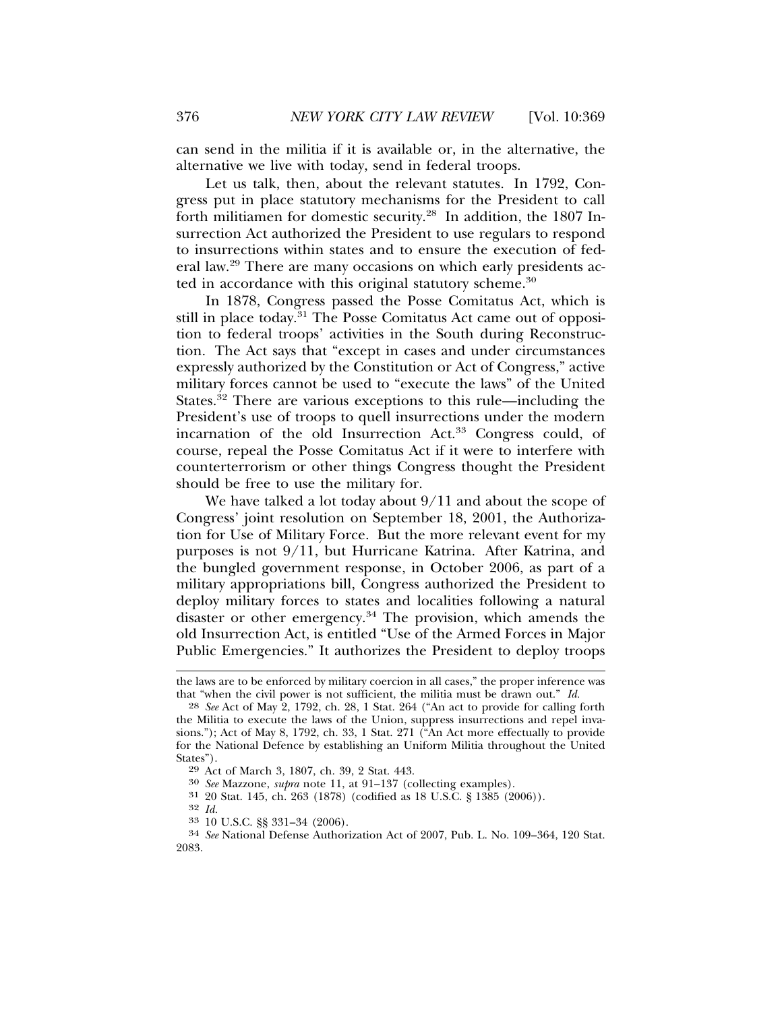can send in the militia if it is available or, in the alternative, the alternative we live with today, send in federal troops.

Let us talk, then, about the relevant statutes. In 1792, Congress put in place statutory mechanisms for the President to call forth militiamen for domestic security.28 In addition, the 1807 Insurrection Act authorized the President to use regulars to respond to insurrections within states and to ensure the execution of federal law.29 There are many occasions on which early presidents acted in accordance with this original statutory scheme.<sup>30</sup>

In 1878, Congress passed the Posse Comitatus Act, which is still in place today.<sup>31</sup> The Posse Comitatus Act came out of opposition to federal troops' activities in the South during Reconstruction. The Act says that "except in cases and under circumstances expressly authorized by the Constitution or Act of Congress," active military forces cannot be used to "execute the laws" of the United States.<sup>32</sup> There are various exceptions to this rule—including the President's use of troops to quell insurrections under the modern incarnation of the old Insurrection Act.33 Congress could, of course, repeal the Posse Comitatus Act if it were to interfere with counterterrorism or other things Congress thought the President should be free to use the military for.

We have talked a lot today about 9/11 and about the scope of Congress' joint resolution on September 18, 2001, the Authorization for Use of Military Force. But the more relevant event for my purposes is not 9/11, but Hurricane Katrina. After Katrina, and the bungled government response, in October 2006, as part of a military appropriations bill, Congress authorized the President to deploy military forces to states and localities following a natural disaster or other emergency.<sup>34</sup> The provision, which amends the old Insurrection Act, is entitled "Use of the Armed Forces in Major Public Emergencies." It authorizes the President to deploy troops

the laws are to be enforced by military coercion in all cases," the proper inference was that "when the civil power is not sufficient, the militia must be drawn out." *Id.*

<sup>28</sup> *See* Act of May 2, 1792, ch. 28, 1 Stat. 264 ("An act to provide for calling forth the Militia to execute the laws of the Union, suppress insurrections and repel invasions."); Act of May 8, 1792, ch. 33, 1 Stat. 271 ("An Act more effectually to provide for the National Defence by establishing an Uniform Militia throughout the United States").<br><sup>29</sup> Act of March 3, 1807, ch. 39, 2 Stat. 443.

<sup>&</sup>lt;sup>30</sup> See Mazzone, *supra* note 11, at 91-137 (collecting examples).

 $31$  20 Stat. 145, ch. 263 (1878) (codified as 18 U.S.C. § 1385 (2006)).  $32$  *Id.* 

<sup>32</sup> *Id.* <sup>33</sup> 10 U.S.C. §§ 331–34 (2006). <sup>34</sup> *See* National Defense Authorization Act of 2007, Pub. L. No. 109–364, 120 Stat. 2083.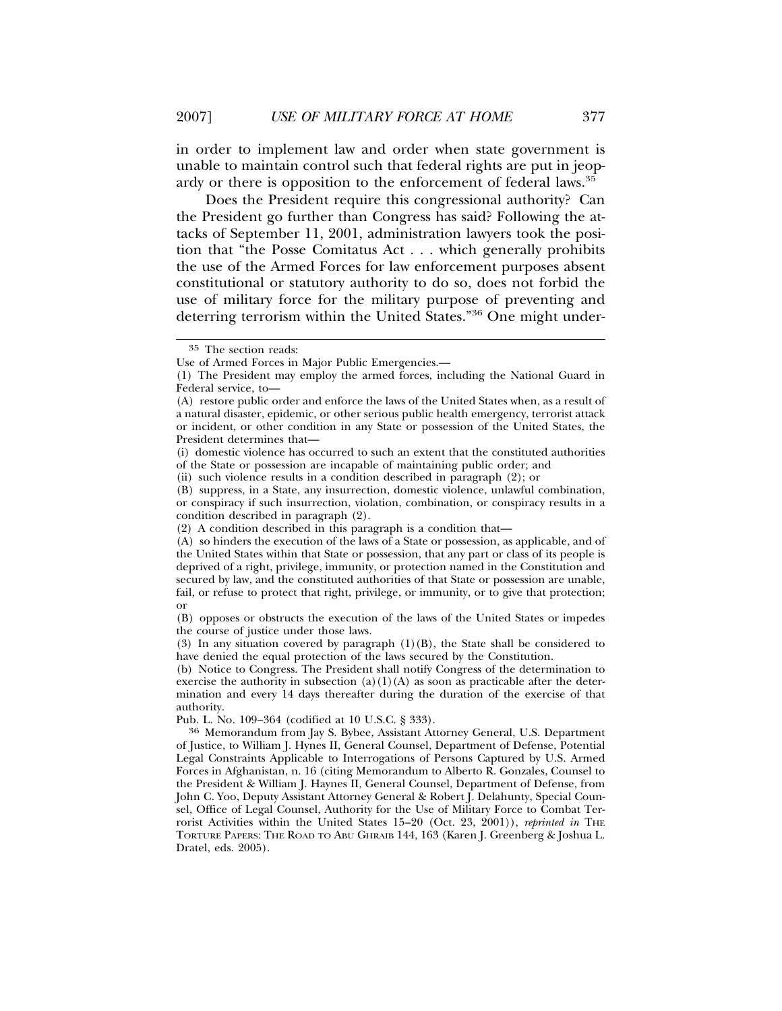in order to implement law and order when state government is unable to maintain control such that federal rights are put in jeopardy or there is opposition to the enforcement of federal laws.35

Does the President require this congressional authority? Can the President go further than Congress has said? Following the attacks of September 11, 2001, administration lawyers took the position that "the Posse Comitatus Act . . . which generally prohibits the use of the Armed Forces for law enforcement purposes absent constitutional or statutory authority to do so, does not forbid the use of military force for the military purpose of preventing and deterring terrorism within the United States."36 One might under-

<sup>35</sup> The section reads:

Use of Armed Forces in Major Public Emergencies.—

<sup>(1)</sup> The President may employ the armed forces, including the National Guard in Federal service, to—

<sup>(</sup>A) restore public order and enforce the laws of the United States when, as a result of a natural disaster, epidemic, or other serious public health emergency, terrorist attack or incident, or other condition in any State or possession of the United States, the President determines that—

<sup>(</sup>i) domestic violence has occurred to such an extent that the constituted authorities of the State or possession are incapable of maintaining public order; and

<sup>(</sup>ii) such violence results in a condition described in paragraph (2); or

<sup>(</sup>B) suppress, in a State, any insurrection, domestic violence, unlawful combination, or conspiracy if such insurrection, violation, combination, or conspiracy results in a condition described in paragraph (2).

<sup>(2)</sup> A condition described in this paragraph is a condition that—

<sup>(</sup>A) so hinders the execution of the laws of a State or possession, as applicable, and of the United States within that State or possession, that any part or class of its people is deprived of a right, privilege, immunity, or protection named in the Constitution and secured by law, and the constituted authorities of that State or possession are unable, fail, or refuse to protect that right, privilege, or immunity, or to give that protection; or

<sup>(</sup>B) opposes or obstructs the execution of the laws of the United States or impedes the course of justice under those laws.

<sup>(3)</sup> In any situation covered by paragraph  $(1)(B)$ , the State shall be considered to have denied the equal protection of the laws secured by the Constitution.

<sup>(</sup>b) Notice to Congress. The President shall notify Congress of the determination to exercise the authority in subsection  $(a)(1)(A)$  as soon as practicable after the determination and every 14 days thereafter during the duration of the exercise of that authority.<br>Pub. L. No. 109-364 (codified at 10 U.S.C. § 333).

<sup>&</sup>lt;sup>36</sup> Memorandum from Jay S. Bybee, Assistant Attorney General, U.S. Department of Justice, to William J. Hynes II, General Counsel, Department of Defense, Potential Legal Constraints Applicable to Interrogations of Persons Captured by U.S. Armed Forces in Afghanistan, n. 16 (citing Memorandum to Alberto R. Gonzales, Counsel to the President & William J. Haynes II, General Counsel, Department of Defense, from John C. Yoo, Deputy Assistant Attorney General & Robert J. Delahunty, Special Counsel, Office of Legal Counsel, Authority for the Use of Military Force to Combat Terrorist Activities within the United States 15–20 (Oct. 23, 2001)), *reprinted in* THE TORTURE PAPERS: THE ROAD TO ABU GHRAIB 144, 163 (Karen J. Greenberg & Joshua L. Dratel, eds. 2005).